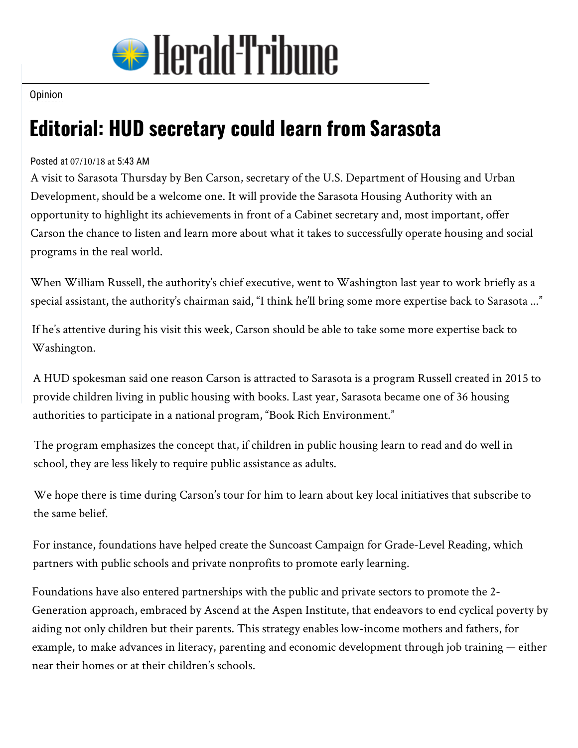

## **Opinion**

## **Editorial: HUD secretary could learn from Sarasota**

## Posted at 07/10/18 at 5:43 AM

A visit to Sarasota Thursday by Ben Carson, secretary of the U.S. Department of Housing and Urban Development, should be a welcome one. It will provide the Sarasota Housing Authority with an opportunity to highlight its achievements in front of a Cabinet secretary and, most important, offer Carson the chance to listen and learn more about what it takes to successfully operate housing and social programs in the real world.

When William Russell, the authority's chief executive, went to Washington last year to work briefly as a special assistant, the authority's chairman said, "I think he'll bring some more expertise back to Sarasota ..."

If he's attentive during his visit this week, Carson should be able to take some more expertise back to Washington.

A HUD spokesman said one reason Carson is attracted to Sarasota is a program Russell created in 2015 to provide children living in public housing with books. Last year, Sarasota became one of 36 housing authorities to participate in a national program, "Book Rich Environment."

The program emphasizes the concept that, if children in public housing learn to read and do well in school, they are less likely to require public assistance as adults.

We hope there is time during Carson's tour for him to learn about key local initiatives that subscribe to the same belief.

For instance, foundations have helped create the Suncoast Campaign for Grade-Level Reading, which partners with public schools and private nonprofits to promote early learning.

Foundations have also entered partnerships with the public and private sectors to promote the 2- Generation approach, embraced by Ascend at the Aspen Institute, that endeavors to end cyclical poverty by aiding not only children but their parents. This strategy enables low-income mothers and fathers, for example, to make advances in literacy, parenting and economic development through job training — either near their homes or at their children's schools.